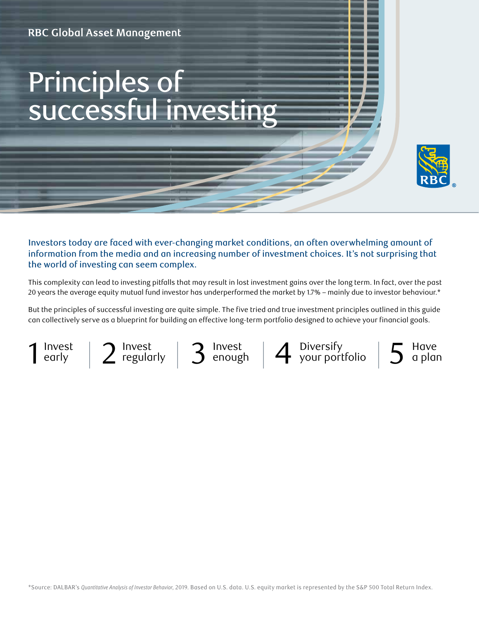# Principles of successful investing



Investors today are faced with ever-changing market conditions, an often overwhelming amount of information from the media and an increasing number of investment choices. It's not surprising that the world of investing can seem complex.

This complexity can lead to investing pitfalls that may result in lost investment gains over the long term. In fact, over the past 20 years the average equity mutual fund investor has underperformed the market by 1.7% – mainly due to investor behaviour.\*

But the principles of successful investing are quite simple. The five tried and true investment principles outlined in this guide can collectively serve as a blueprint for building an effective long-term portfolio designed to achieve your financial goals.



Invest enough

 $1$  lnvest  $| 2$  lnvest  $| 3$  lnvest  $| 4$  Diversify  $| 5$ Diversify your portfolio



\*Source: DALBAR's *Quantitative Analysis of Investor Behavior*, 2019. Based on U.S. data. U.S. equity market is represented by the S&P 500 Total Return Index.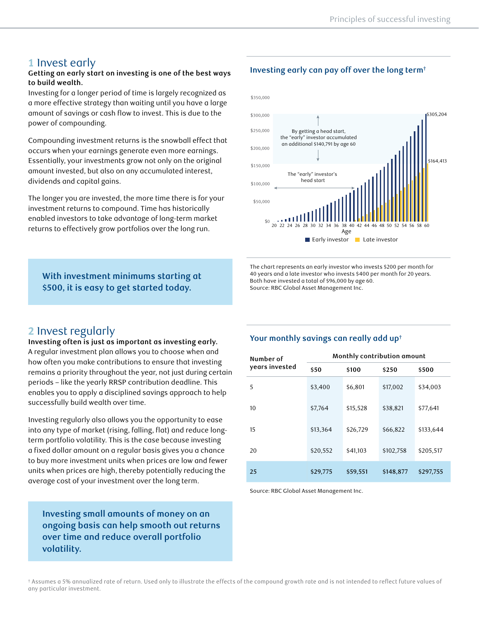# **1** Invest early

## **Getting an early start on investing is one of the best ways to build wealth.**

Investing for a longer period of time is largely recognized as a more effective strategy than waiting until you have a large amount of savings or cash flow to invest. This is due to the power of compounding.

Compounding investment returns is the snowball effect that occurs when your earnings generate even more earnings. Essentially, your investments grow not only on the original amount invested, but also on any accumulated interest, dividends and capital gains.

The longer you are invested, the more time there is for your investment returns to compound. Time has historically enabled investors to take advantage of long-term market returns to effectively grow portfolios over the long run.

## **With investment minimums starting at \$500, it is easy to get started today.**

## **Investing early can pay off over the long term†**



The chart represents an early investor who invests \$200 per month for 40 years and a late investor who invests \$400 per month for 20 years. Both have invested a total of \$96,000 by age 60. Source: RBC Global Asset Management Inc.

# **2** Invest regularly

**Investing often is just as important as investing early.** A regular investment plan allows you to choose when and how often you make contributions to ensure that investing remains a priority throughout the year, not just during certain periods – like the yearly RRSP contribution deadline. This enables you to apply a disciplined savings approach to help successfully build wealth over time.

Investing regularly also allows you the opportunity to ease into any type of market (rising, falling, flat) and reduce longterm portfolio volatility. This is the case because investing a fixed dollar amount on a regular basis gives you a chance to buy more investment units when prices are low and fewer units when prices are high, thereby potentially reducing the average cost of your investment over the long term.

**Investing small amounts of money on an ongoing basis can help smooth out returns over time and reduce overall portfolio volatility.**

## **Your monthly savings can really add up†**

| Number of<br>years invested | Monthly contribution amount |          |           |           |  |  |
|-----------------------------|-----------------------------|----------|-----------|-----------|--|--|
|                             | \$50                        | \$100    | \$250     | \$500     |  |  |
| 5                           | \$3,400                     | \$6,801  | \$17,002  | \$34,003  |  |  |
| 10                          | \$7,764                     | \$15,528 | \$38,821  | \$77,641  |  |  |
| 15                          | \$13,364                    | \$26,729 | \$66,822  | \$133,644 |  |  |
| 20                          | \$20,552                    | \$41,103 | \$102,758 | \$205,517 |  |  |
| 25                          | \$29,775                    | \$59,551 | \$148,877 | \$297,755 |  |  |

Source: RBC Global Asset Management Inc.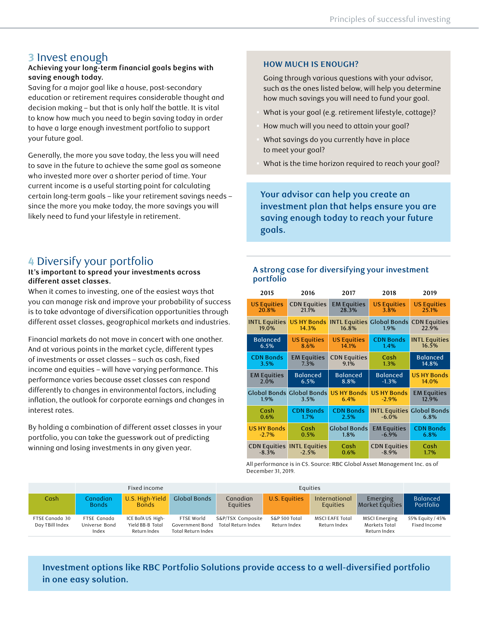## **3** Invest enough

#### **Achieving your long-term financial goals begins with saving enough today.**

Saving for a major goal like a house, post-secondary education or retirement requires considerable thought and decision making – but that is only half the battle. It is vital to know how much you need to begin saving today in order to have a large enough investment portfolio to support your future goal.

Generally, the more you save today, the less you will need to save in the future to achieve the same goal as someone who invested more over a shorter period of time. Your current income is a useful starting point for calculating certain long-term goals – like your retirement savings needs – since the more you make today, the more savings you will likely need to fund your lifestyle in retirement.

# **4** Diversify your portfolio

#### **It's important to spread your investments across different asset classes.**

When it comes to investing, one of the easiest ways that you can manage risk and improve your probability of success is to take advantage of diversification opportunities through different asset classes, geographical markets and industries.

Financial markets do not move in concert with one another. And at various points in the market cycle, different types of investments or asset classes – such as cash, fixed income and equities – will have varying performance. This performance varies because asset classes can respond differently to changes in environmental factors, including inflation, the outlook for corporate earnings and changes in interest rates.

By holding a combination of different asset classes in your portfolio, you can take the guesswork out of predicting winning and losing investments in any given year.

## **HOW MUCH IS ENOUGH?**

Going through various questions with your advisor, such as the ones listed below, will help you determine how much savings you will need to fund your goal.

- § What is your goal (e.g. retirement lifestyle, cottage)?
- § How much will you need to attain your goal?
- What savings do you currently have in place to meet your goal?
- What is the time horizon required to reach your goal?

**Your advisor can help you create an investment plan that helps ensure you are saving enough today to reach your future goals.**

## **A strong case for diversifying your investment portfolio**

| 2015                 | 2016                              | 2017                | 2018                              | 2019                              |  |
|----------------------|-----------------------------------|---------------------|-----------------------------------|-----------------------------------|--|
| <b>US Equities</b>   | <b>CDN Equities</b>               | <b>EM Equities</b>  | <b>US Equities</b>                | <b>US Equities</b>                |  |
| 20.8%                | 21.1%                             | 28.3%               | 3.8%                              | 25.1%                             |  |
| <b>INTL Equities</b> | <b>US HY Bonds</b>                | 16.8%               | <b>INTL Equities Global Bonds</b> | <b>CDN Equities</b>               |  |
| 19.0%                | 14.3%                             |                     | 1.9%                              | 22.9%                             |  |
| <b>Balanced</b>      | <b>US Equities</b>                | <b>US Equities</b>  | <b>CDN Bonds</b>                  | <b>INTL Equities</b>              |  |
| 6.5%                 | 8.6%                              | 14.1%               | 1.4%                              | 16.5%                             |  |
| <b>CDN Bonds</b>     | <b>EM Equities</b>                | <b>CDN Equities</b> | Cash                              | <b>Balanced</b>                   |  |
| 3.5%                 | 7.3%                              | 9.1%                | 1.3%                              | 14.8%                             |  |
| <b>EM Equities</b>   | <b>Balanced</b>                   | <b>Balanced</b>     | <b>Balanced</b>                   | <b>US HY Bonds</b>                |  |
| 2.0%                 | 6.5%                              | 8.8%                | $-1.3%$                           | 14.0%                             |  |
| 1.9%                 | <b>Global Bonds Global Bonds</b>  | <b>US HY Bonds</b>  | <b>US HY Bonds</b>                | <b>EM Equities</b>                |  |
|                      | 3.5%                              | 6.4%                | $-2.9%$                           | 12.9%                             |  |
| Cash                 | <b>CDN Bonds</b>                  | <b>CDN Bonds</b>    | $-6.0%$                           | <b>INTL Equities Global Bonds</b> |  |
| 0.6%                 | 1.7%                              | 2.5%                |                                   | 6.8%                              |  |
| <b>US HY Bonds</b>   | Cash                              | <b>Global Bonds</b> | <b>EM Equities</b>                | <b>CDN Bonds</b>                  |  |
| $-2.7%$              | 0.5%                              | 1.8%                | $-6.9\%$                          | 6.8%                              |  |
| $-8.3%$              | <b>CDN Equities INTL Equities</b> | Cash                | <b>CDN Equities</b>               | Cash                              |  |
|                      | $-2.5%$                           | 0.6%                | $-8.9%$                           | 1.7%                              |  |

All performance is in C\$. Source: RBC Global Asset Management Inc. as of December 31, 2019.

|                                   | Fixed income                          |                                                       |                                                     | Equities                                |                               |                                 |                                                |                                  |
|-----------------------------------|---------------------------------------|-------------------------------------------------------|-----------------------------------------------------|-----------------------------------------|-------------------------------|---------------------------------|------------------------------------------------|----------------------------------|
| Cash                              | Canadian<br><b>Bonds</b>              | U.S. High-Yield<br><b>Bonds</b>                       | <b>Global Bonds</b>                                 | Canadian<br>Equities                    | U.S. Equities                 | International<br>Equities       | Emerging<br>Market Equities                    | <b>Balanced</b><br>Portfolio     |
| FTSE Canada 30<br>Day TBill Index | FTSE Canada<br>Universe Bond<br>Index | ICE BofA US High-<br>Yield BB-B Total<br>Return Index | FTSE World<br>Government Bond<br>Total Return Index | S&P/TSX Composite<br>Total Return Index | S&P 500 Total<br>Return Index | MSCI EAFE Total<br>Return Index | MSCI Emerging<br>Markets Total<br>Return Index | 55% Equity / 45%<br>Fixed Income |

**Investment options like RBC Portfolio Solutions provide access to a well-diversified portfolio in one easy solution.**